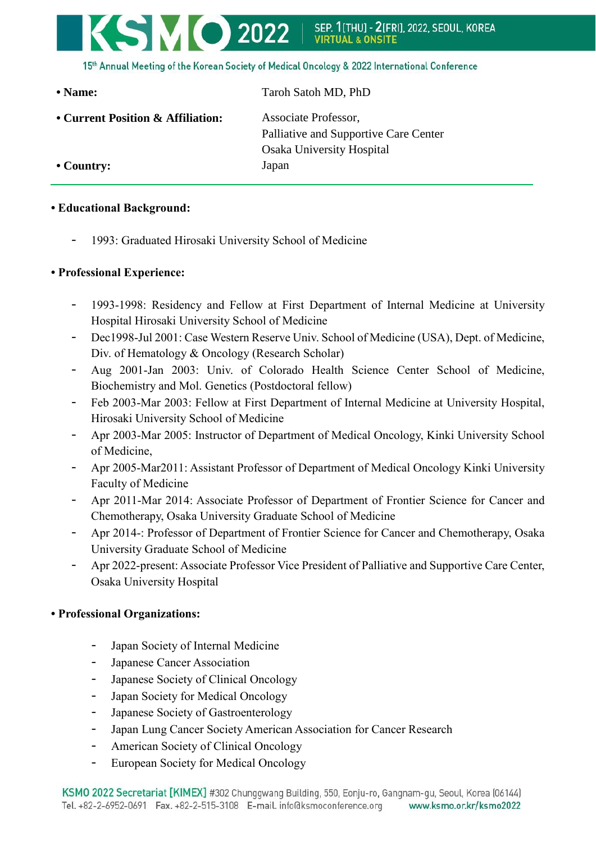

15th Annual Meeting of the Korean Society of Medical Oncology & 2022 International Conference

**• Name:** Taroh Satoh MD, PhD

**• Current Position & Affiliation:** Associate Professor,

**• Country:** Japan

Palliative and Supportive Care Center Osaka University Hospital

## **• Educational Background:**

1993: Graduated Hirosaki University School of Medicine

## **• Professional Experience:**

- 1993-1998: Residency and Fellow at First Department of Internal Medicine at University Hospital Hirosaki University School of Medicine
- Dec1998-Jul 2001: Case Western Reserve Univ. School of Medicine (USA), Dept. of Medicine, Div. of Hematology & Oncology (Research Scholar)
- Aug 2001-Jan 2003: Univ. of Colorado Health Science Center School of Medicine, Biochemistry and Mol. Genetics (Postdoctoral fellow)
- Feb 2003-Mar 2003: Fellow at First Department of Internal Medicine at University Hospital, Hirosaki University School of Medicine
- Apr 2003-Mar 2005: Instructor of Department of Medical Oncology, Kinki University School of Medicine,
- Apr 2005-Mar2011: Assistant Professor of Department of Medical Oncology Kinki University Faculty of Medicine
- Apr 2011-Mar 2014: Associate Professor of Department of Frontier Science for Cancer and Chemotherapy, Osaka University Graduate School of Medicine
- Apr 2014-: Professor of Department of Frontier Science for Cancer and Chemotherapy, Osaka University Graduate School of Medicine
- Apr 2022-present: Associate Professor Vice President of Palliative and Supportive Care Center, Osaka University Hospital

## **• Professional Organizations:**

- Japan Society of Internal Medicine
- Japanese Cancer Association
- Japanese Society of Clinical Oncology
- Japan Society for Medical Oncology
- Japanese Society of Gastroenterology
- Japan Lung Cancer Society American Association for Cancer Research
- American Society of Clinical Oncology
- European Society for Medical Oncology